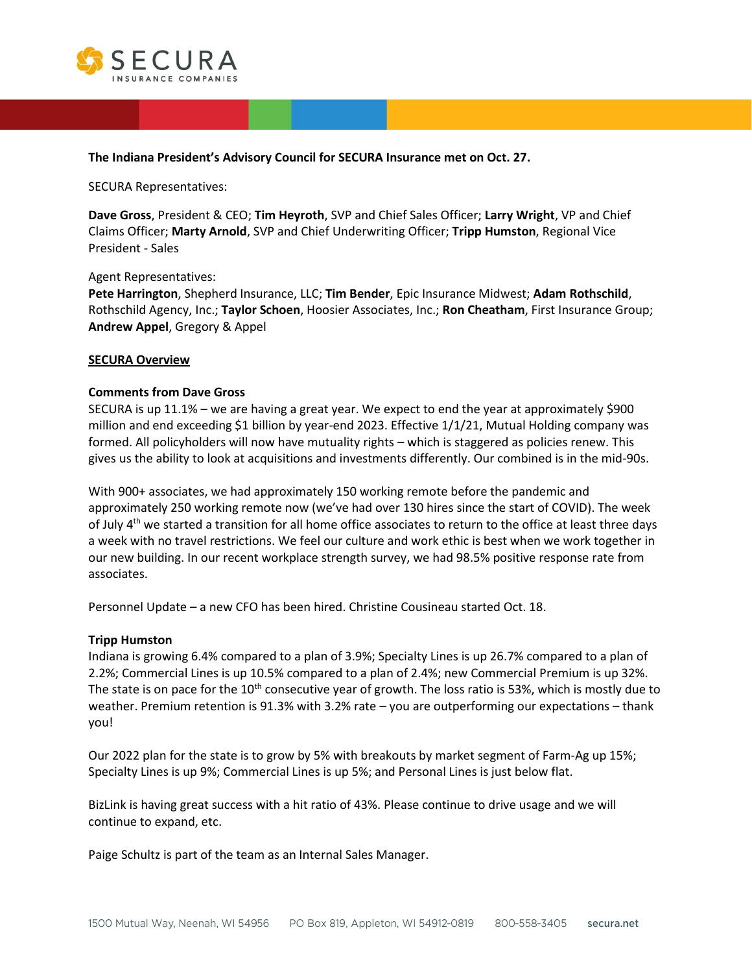

### **The Indiana President's Advisory Council for SECURA Insurance met on Oct. 27.**

SECURA Representatives:

**Dave Gross**, President & CEO; **Tim Heyroth**, SVP and Chief Sales Officer; **Larry Wright**, VP and Chief Claims Officer; **Marty Arnold**, SVP and Chief Underwriting Officer; **Tripp Humston**, Regional Vice President - Sales

### Agent Representatives:

**Pete Harrington**, Shepherd Insurance, LLC; **Tim Bender**, Epic Insurance Midwest; **Adam Rothschild**, Rothschild Agency, Inc.; **Taylor Schoen**, Hoosier Associates, Inc.; **Ron Cheatham**, First Insurance Group; **Andrew Appel**, Gregory & Appel

### **SECURA Overview**

### **Comments from Dave Gross**

SECURA is up 11.1% – we are having a great year. We expect to end the year at approximately \$900 million and end exceeding \$1 billion by year-end 2023. Effective 1/1/21, Mutual Holding company was formed. All policyholders will now have mutuality rights – which is staggered as policies renew. This gives us the ability to look at acquisitions and investments differently. Our combined is in the mid-90s.

With 900+ associates, we had approximately 150 working remote before the pandemic and approximately 250 working remote now (we've had over 130 hires since the start of COVID). The week of July 4<sup>th</sup> we started a transition for all home office associates to return to the office at least three days a week with no travel restrictions. We feel our culture and work ethic is best when we work together in our new building. In our recent workplace strength survey, we had 98.5% positive response rate from associates.

Personnel Update – a new CFO has been hired. Christine Cousineau started Oct. 18.

#### **Tripp Humston**

Indiana is growing 6.4% compared to a plan of 3.9%; Specialty Lines is up 26.7% compared to a plan of 2.2%; Commercial Lines is up 10.5% compared to a plan of 2.4%; new Commercial Premium is up 32%. The state is on pace for the 10<sup>th</sup> consecutive year of growth. The loss ratio is 53%, which is mostly due to weather. Premium retention is 91.3% with 3.2% rate – you are outperforming our expectations – thank you!

Our 2022 plan for the state is to grow by 5% with breakouts by market segment of Farm-Ag up 15%; Specialty Lines is up 9%; Commercial Lines is up 5%; and Personal Lines is just below flat.

BizLink is having great success with a hit ratio of 43%. Please continue to drive usage and we will continue to expand, etc.

Paige Schultz is part of the team as an Internal Sales Manager.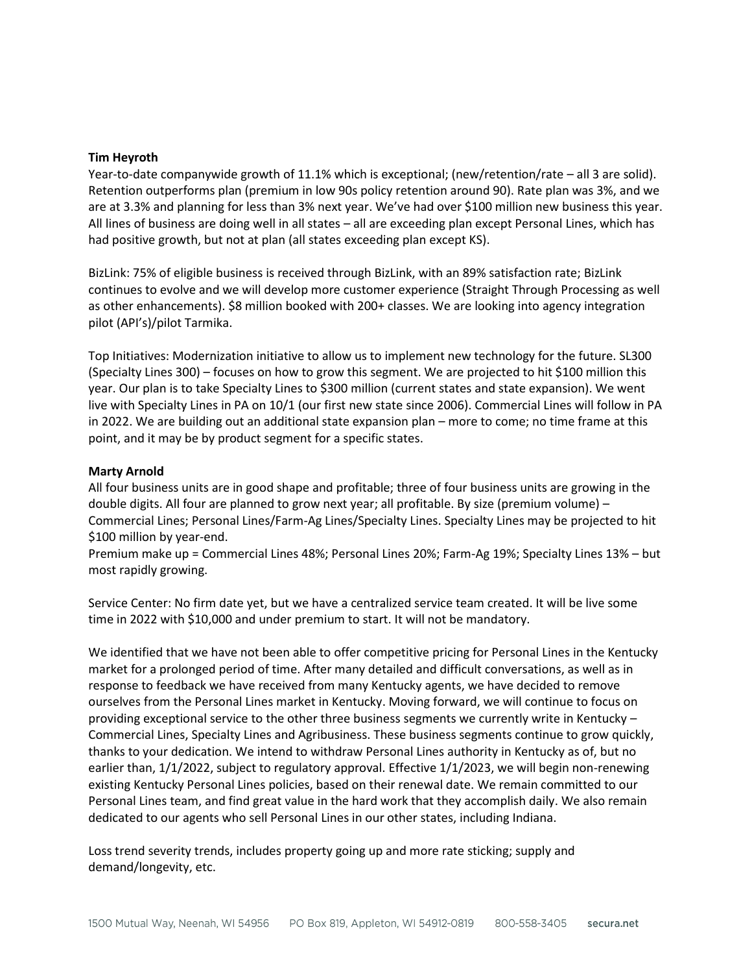### **Tim Heyroth**

Year-to-date companywide growth of 11.1% which is exceptional; (new/retention/rate – all 3 are solid). Retention outperforms plan (premium in low 90s policy retention around 90). Rate plan was 3%, and we are at 3.3% and planning for less than 3% next year. We've had over \$100 million new business this year. All lines of business are doing well in all states – all are exceeding plan except Personal Lines, which has had positive growth, but not at plan (all states exceeding plan except KS).

BizLink: 75% of eligible business is received through BizLink, with an 89% satisfaction rate; BizLink continues to evolve and we will develop more customer experience (Straight Through Processing as well as other enhancements). \$8 million booked with 200+ classes. We are looking into agency integration pilot (API's)/pilot Tarmika.

Top Initiatives: Modernization initiative to allow us to implement new technology for the future. SL300 (Specialty Lines 300) – focuses on how to grow this segment. We are projected to hit \$100 million this year. Our plan is to take Specialty Lines to \$300 million (current states and state expansion). We went live with Specialty Lines in PA on 10/1 (our first new state since 2006). Commercial Lines will follow in PA in 2022. We are building out an additional state expansion plan – more to come; no time frame at this point, and it may be by product segment for a specific states.

### **Marty Arnold**

All four business units are in good shape and profitable; three of four business units are growing in the double digits. All four are planned to grow next year; all profitable. By size (premium volume) – Commercial Lines; Personal Lines/Farm-Ag Lines/Specialty Lines. Specialty Lines may be projected to hit \$100 million by year-end.

Premium make up = Commercial Lines 48%; Personal Lines 20%; Farm-Ag 19%; Specialty Lines 13% – but most rapidly growing.

Service Center: No firm date yet, but we have a centralized service team created. It will be live some time in 2022 with \$10,000 and under premium to start. It will not be mandatory.

We identified that we have not been able to offer competitive pricing for Personal Lines in the Kentucky market for a prolonged period of time. After many detailed and difficult conversations, as well as in response to feedback we have received from many Kentucky agents, we have decided to remove ourselves from the Personal Lines market in Kentucky. Moving forward, we will continue to focus on providing exceptional service to the other three business segments we currently write in Kentucky – Commercial Lines, Specialty Lines and Agribusiness. These business segments continue to grow quickly, thanks to your dedication. We intend to withdraw Personal Lines authority in Kentucky as of, but no earlier than, 1/1/2022, subject to regulatory approval. Effective 1/1/2023, we will begin non-renewing existing Kentucky Personal Lines policies, based on their renewal date. We remain committed to our Personal Lines team, and find great value in the hard work that they accomplish daily. We also remain dedicated to our agents who sell Personal Lines in our other states, including Indiana.

Loss trend severity trends, includes property going up and more rate sticking; supply and demand/longevity, etc.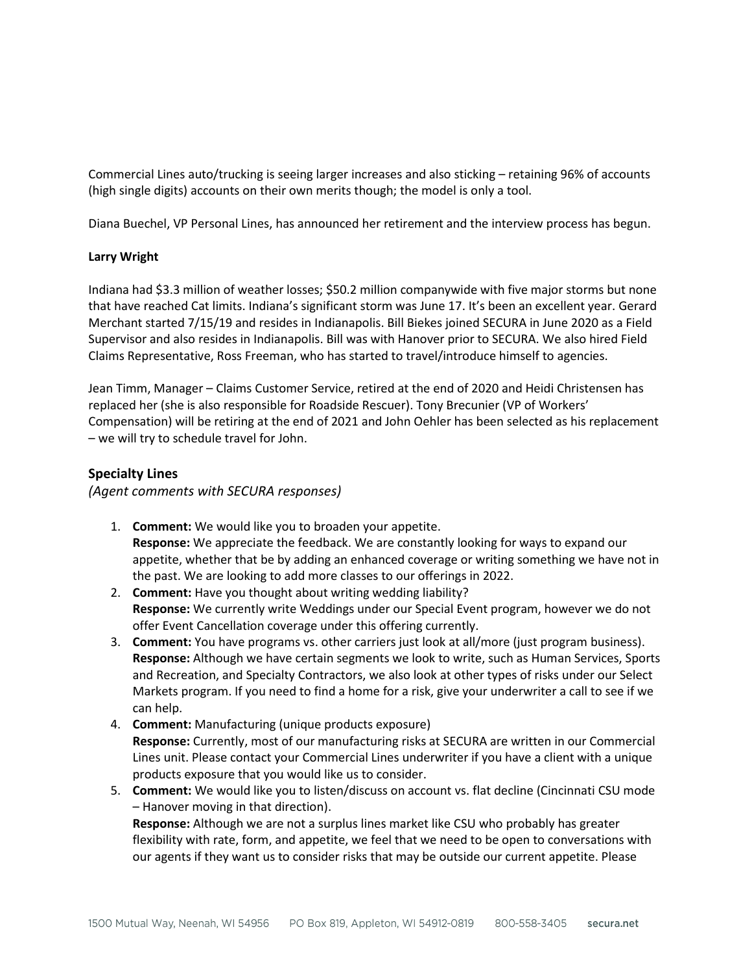Commercial Lines auto/trucking is seeing larger increases and also sticking – retaining 96% of accounts (high single digits) accounts on their own merits though; the model is only a tool.

Diana Buechel, VP Personal Lines, has announced her retirement and the interview process has begun.

# **Larry Wright**

Indiana had \$3.3 million of weather losses; \$50.2 million companywide with five major storms but none that have reached Cat limits. Indiana's significant storm was June 17. It's been an excellent year. Gerard Merchant started 7/15/19 and resides in Indianapolis. Bill Biekes joined SECURA in June 2020 as a Field Supervisor and also resides in Indianapolis. Bill was with Hanover prior to SECURA. We also hired Field Claims Representative, Ross Freeman, who has started to travel/introduce himself to agencies.

Jean Timm, Manager – Claims Customer Service, retired at the end of 2020 and Heidi Christensen has replaced her (she is also responsible for Roadside Rescuer). Tony Brecunier (VP of Workers' Compensation) will be retiring at the end of 2021 and John Oehler has been selected as his replacement – we will try to schedule travel for John.

# **Specialty Lines**

*(Agent comments with SECURA responses)*

- 1. **Comment:** We would like you to broaden your appetite. **Response:** We appreciate the feedback. We are constantly looking for ways to expand our appetite, whether that be by adding an enhanced coverage or writing something we have not in the past. We are looking to add more classes to our offerings in 2022.
- 2. **Comment:** Have you thought about writing wedding liability? **Response:** We currently write Weddings under our Special Event program, however we do not offer Event Cancellation coverage under this offering currently.
- 3. **Comment:** You have programs vs. other carriers just look at all/more (just program business). **Response:** Although we have certain segments we look to write, such as Human Services, Sports and Recreation, and Specialty Contractors, we also look at other types of risks under our Select Markets program. If you need to find a home for a risk, give your underwriter a call to see if we can help.
- 4. **Comment:** Manufacturing (unique products exposure) **Response:** Currently, most of our manufacturing risks at SECURA are written in our Commercial Lines unit. Please contact your Commercial Lines underwriter if you have a client with a unique products exposure that you would like us to consider.
- 5. **Comment:** We would like you to listen/discuss on account vs. flat decline (Cincinnati CSU mode – Hanover moving in that direction). **Response:** Although we are not a surplus lines market like CSU who probably has greater flexibility with rate, form, and appetite, we feel that we need to be open to conversations with our agents if they want us to consider risks that may be outside our current appetite. Please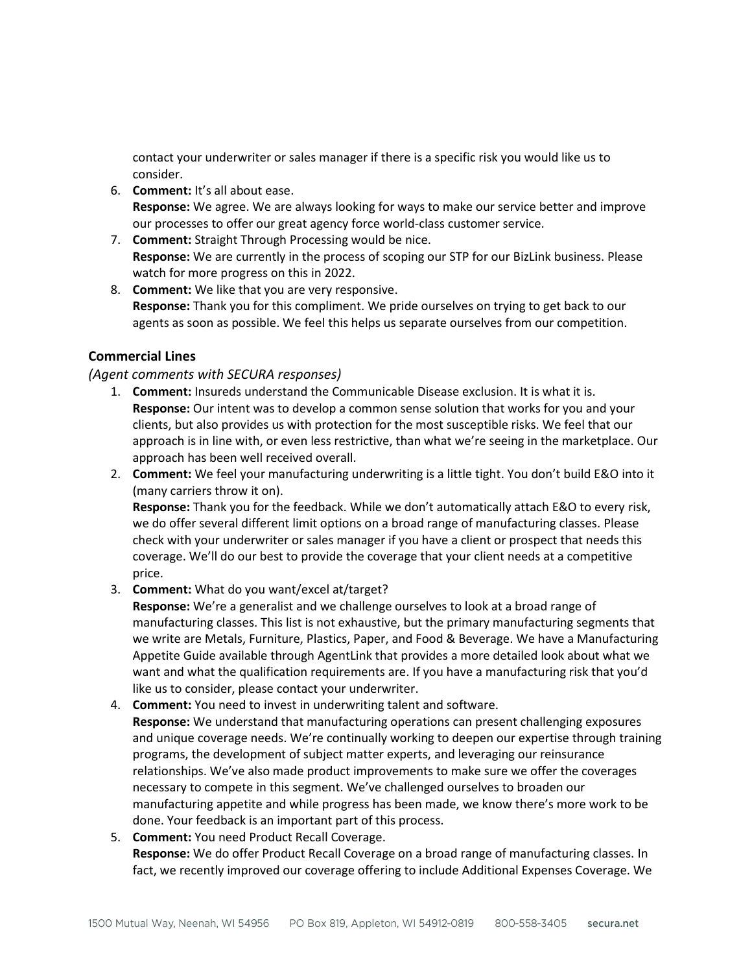contact your underwriter or sales manager if there is a specific risk you would like us to consider.

- 6. **Comment:** It's all about ease. **Response:** We agree. We are always looking for ways to make our service better and improve our processes to offer our great agency force world-class customer service.
- 7. **Comment:** Straight Through Processing would be nice. **Response:** We are currently in the process of scoping our STP for our BizLink business. Please watch for more progress on this in 2022.
- 8. **Comment:** We like that you are very responsive. **Response:** Thank you for this compliment. We pride ourselves on trying to get back to our agents as soon as possible. We feel this helps us separate ourselves from our competition.

# **Commercial Lines**

# *(Agent comments with SECURA responses)*

- 1. **Comment:** Insureds understand the Communicable Disease exclusion. It is what it is. **Response:** Our intent was to develop a common sense solution that works for you and your clients, but also provides us with protection for the most susceptible risks. We feel that our approach is in line with, or even less restrictive, than what we're seeing in the marketplace. Our approach has been well received overall.
- 2. **Comment:** We feel your manufacturing underwriting is a little tight. You don't build E&O into it (many carriers throw it on).

**Response:** Thank you for the feedback. While we don't automatically attach E&O to every risk, we do offer several different limit options on a broad range of manufacturing classes. Please check with your underwriter or sales manager if you have a client or prospect that needs this coverage. We'll do our best to provide the coverage that your client needs at a competitive price.

3. **Comment:** What do you want/excel at/target?

**Response:** We're a generalist and we challenge ourselves to look at a broad range of manufacturing classes. This list is not exhaustive, but the primary manufacturing segments that we write are Metals, Furniture, Plastics, Paper, and Food & Beverage. We have a Manufacturing Appetite Guide available through AgentLink that provides a more detailed look about what we want and what the qualification requirements are. If you have a manufacturing risk that you'd like us to consider, please contact your underwriter.

- 4. **Comment:** You need to invest in underwriting talent and software. **Response:** We understand that manufacturing operations can present challenging exposures and unique coverage needs. We're continually working to deepen our expertise through training programs, the development of subject matter experts, and leveraging our reinsurance relationships. We've also made product improvements to make sure we offer the coverages necessary to compete in this segment. We've challenged ourselves to broaden our manufacturing appetite and while progress has been made, we know there's more work to be done. Your feedback is an important part of this process.
- 5. **Comment:** You need Product Recall Coverage. **Response:** We do offer Product Recall Coverage on a broad range of manufacturing classes. In fact, we recently improved our coverage offering to include Additional Expenses Coverage. We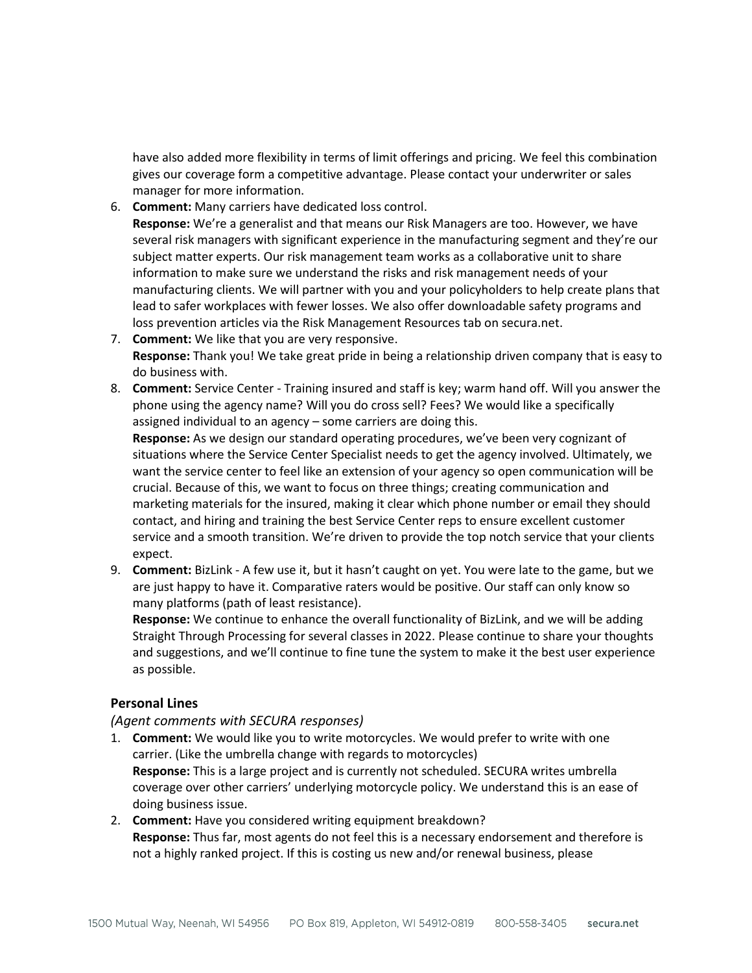have also added more flexibility in terms of limit offerings and pricing. We feel this combination gives our coverage form a competitive advantage. Please contact your underwriter or sales manager for more information.

- 6. **Comment:** Many carriers have dedicated loss control. **Response:** We're a generalist and that means our Risk Managers are too. However, we have several risk managers with significant experience in the manufacturing segment and they're our subject matter experts. Our risk management team works as a collaborative unit to share information to make sure we understand the risks and risk management needs of your manufacturing clients. We will partner with you and your policyholders to help create plans that lead to safer workplaces with fewer losses. We also offer downloadable safety programs and loss prevention articles via the Risk Management Resources tab on secura.net.
- 7. **Comment:** We like that you are very responsive. **Response:** Thank you! We take great pride in being a relationship driven company that is easy to do business with.
- 8. **Comment:** Service Center Training insured and staff is key; warm hand off. Will you answer the phone using the agency name? Will you do cross sell? Fees? We would like a specifically assigned individual to an agency – some carriers are doing this.

**Response:** As we design our standard operating procedures, we've been very cognizant of situations where the Service Center Specialist needs to get the agency involved. Ultimately, we want the service center to feel like an extension of your agency so open communication will be crucial. Because of this, we want to focus on three things; creating communication and marketing materials for the insured, making it clear which phone number or email they should contact, and hiring and training the best Service Center reps to ensure excellent customer service and a smooth transition. We're driven to provide the top notch service that your clients expect.

9. **Comment:** BizLink - A few use it, but it hasn't caught on yet. You were late to the game, but we are just happy to have it. Comparative raters would be positive. Our staff can only know so many platforms (path of least resistance).

**Response:** We continue to enhance the overall functionality of BizLink, and we will be adding Straight Through Processing for several classes in 2022. Please continue to share your thoughts and suggestions, and we'll continue to fine tune the system to make it the best user experience as possible.

# **Personal Lines**

# *(Agent comments with SECURA responses)*

- 1. **Comment:** We would like you to write motorcycles. We would prefer to write with one carrier. (Like the umbrella change with regards to motorcycles) **Response:** This is a large project and is currently not scheduled. SECURA writes umbrella coverage over other carriers' underlying motorcycle policy. We understand this is an ease of doing business issue.
- 2. **Comment:** Have you considered writing equipment breakdown? **Response:** Thus far, most agents do not feel this is a necessary endorsement and therefore is not a highly ranked project. If this is costing us new and/or renewal business, please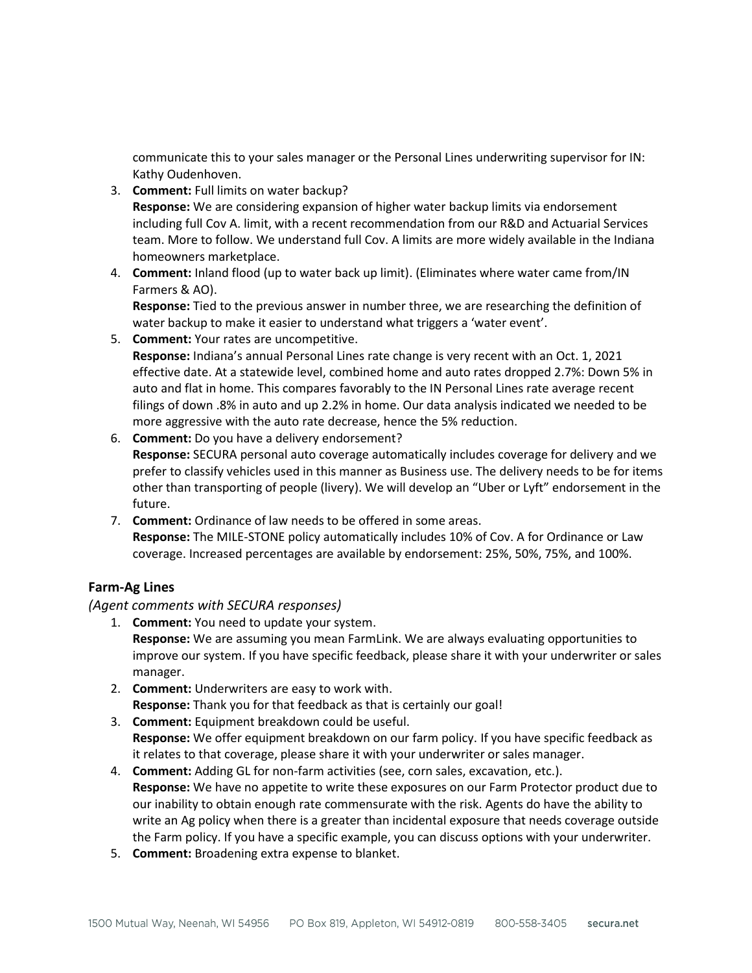communicate this to your sales manager or the Personal Lines underwriting supervisor for IN: Kathy Oudenhoven.

- 3. **Comment:** Full limits on water backup? **Response:** We are considering expansion of higher water backup limits via endorsement including full Cov A. limit, with a recent recommendation from our R&D and Actuarial Services team. More to follow. We understand full Cov. A limits are more widely available in the Indiana homeowners marketplace.
- 4. **Comment:** Inland flood (up to water back up limit). (Eliminates where water came from/IN Farmers & AO).

**Response:** Tied to the previous answer in number three, we are researching the definition of water backup to make it easier to understand what triggers a 'water event'.

- 5. **Comment:** Your rates are uncompetitive. **Response:** Indiana's annual Personal Lines rate change is very recent with an Oct. 1, 2021 effective date. At a statewide level, combined home and auto rates dropped 2.7%: Down 5% in auto and flat in home. This compares favorably to the IN Personal Lines rate average recent filings of down .8% in auto and up 2.2% in home. Our data analysis indicated we needed to be more aggressive with the auto rate decrease, hence the 5% reduction.
- 6. **Comment:** Do you have a delivery endorsement? **Response:** SECURA personal auto coverage automatically includes coverage for delivery and we prefer to classify vehicles used in this manner as Business use. The delivery needs to be for items other than transporting of people (livery). We will develop an "Uber or Lyft" endorsement in the future.
- 7. **Comment:** Ordinance of law needs to be offered in some areas. **Response:** The MILE-STONE policy automatically includes 10% of Cov. A for Ordinance or Law coverage. Increased percentages are available by endorsement: 25%, 50%, 75%, and 100%.

# **Farm-Ag Lines**

*(Agent comments with SECURA responses)*

- 1. **Comment:** You need to update your system. **Response:** We are assuming you mean FarmLink. We are always evaluating opportunities to improve our system. If you have specific feedback, please share it with your underwriter or sales manager.
- 2. **Comment:** Underwriters are easy to work with. **Response:** Thank you for that feedback as that is certainly our goal!
- 3. **Comment:** Equipment breakdown could be useful. **Response:** We offer equipment breakdown on our farm policy. If you have specific feedback as it relates to that coverage, please share it with your underwriter or sales manager.
- 4. **Comment:** Adding GL for non-farm activities (see, corn sales, excavation, etc.). **Response:** We have no appetite to write these exposures on our Farm Protector product due to our inability to obtain enough rate commensurate with the risk. Agents do have the ability to write an Ag policy when there is a greater than incidental exposure that needs coverage outside the Farm policy. If you have a specific example, you can discuss options with your underwriter.
- 5. **Comment:** Broadening extra expense to blanket.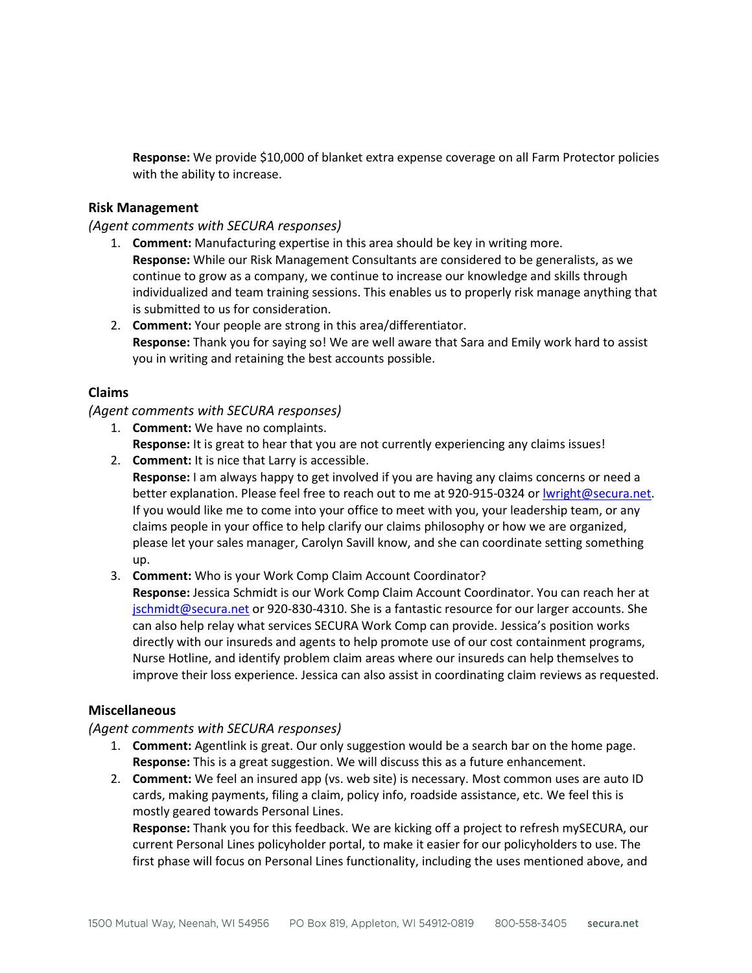**Response:** We provide \$10,000 of blanket extra expense coverage on all Farm Protector policies with the ability to increase.

### **Risk Management**

*(Agent comments with SECURA responses)*

- 1. **Comment:** Manufacturing expertise in this area should be key in writing more. **Response:** While our Risk Management Consultants are considered to be generalists, as we continue to grow as a company, we continue to increase our knowledge and skills through individualized and team training sessions. This enables us to properly risk manage anything that is submitted to us for consideration.
- 2. **Comment:** Your people are strong in this area/differentiator. **Response:** Thank you for saying so! We are well aware that Sara and Emily work hard to assist you in writing and retaining the best accounts possible.

# **Claims**

### *(Agent comments with SECURA responses)*

- 1. **Comment:** We have no complaints. **Response:** It is great to hear that you are not currently experiencing any claims issues!
- 2. **Comment:** It is nice that Larry is accessible. **Response:** I am always happy to get involved if you are having any claims concerns or need a better explanation. Please feel free to reach out to me at 920-915-0324 or [lwright@secura.net.](mailto:lwright@secura.net) If you would like me to come into your office to meet with you, your leadership team, or any claims people in your office to help clarify our claims philosophy or how we are organized, please let your sales manager, Carolyn Savill know, and she can coordinate setting something up.
- 3. **Comment:** Who is your Work Comp Claim Account Coordinator?

**Response:** Jessica Schmidt is our Work Comp Claim Account Coordinator. You can reach her at [jschmidt@secura.net](mailto:jschmidt@secura.net) or 920-830-4310. She is a fantastic resource for our larger accounts. She can also help relay what services SECURA Work Comp can provide. Jessica's position works directly with our insureds and agents to help promote use of our cost containment programs, Nurse Hotline, and identify problem claim areas where our insureds can help themselves to improve their loss experience. Jessica can also assist in coordinating claim reviews as requested.

# **Miscellaneous**

*(Agent comments with SECURA responses)*

- 1. **Comment:** Agentlink is great. Our only suggestion would be a search bar on the home page. **Response:** This is a great suggestion. We will discuss this as a future enhancement.
- 2. **Comment:** We feel an insured app (vs. web site) is necessary. Most common uses are auto ID cards, making payments, filing a claim, policy info, roadside assistance, etc. We feel this is mostly geared towards Personal Lines.

**Response:** Thank you for this feedback. We are kicking off a project to refresh mySECURA, our current Personal Lines policyholder portal, to make it easier for our policyholders to use. The first phase will focus on Personal Lines functionality, including the uses mentioned above, and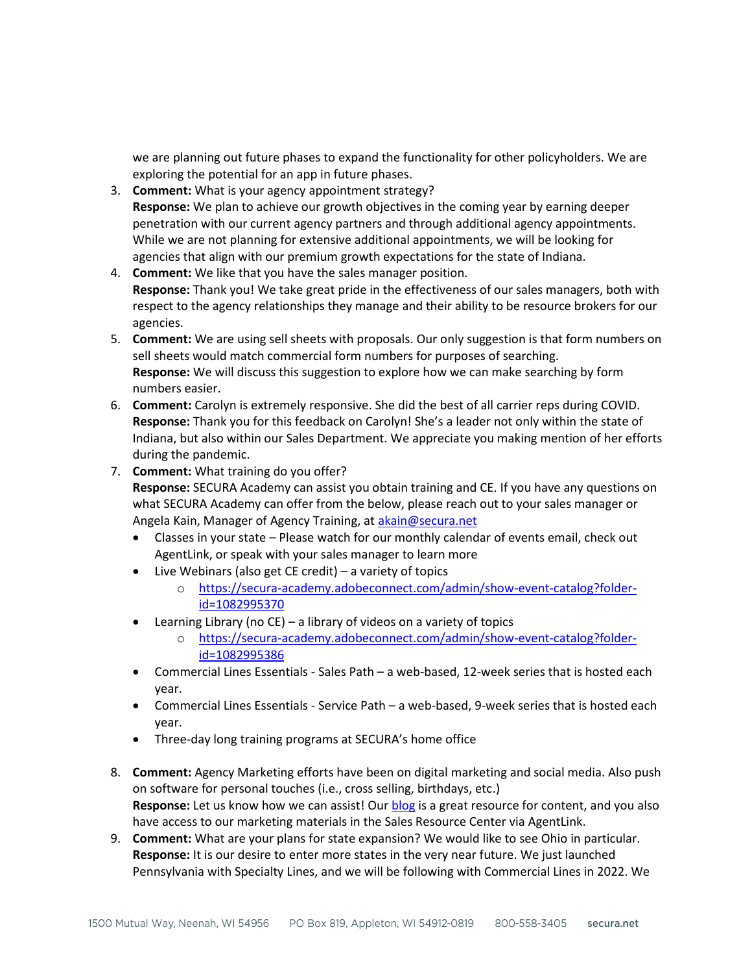we are planning out future phases to expand the functionality for other policyholders. We are exploring the potential for an app in future phases.

- 3. **Comment:** What is your agency appointment strategy? **Response:** We plan to achieve our growth objectives in the coming year by earning deeper penetration with our current agency partners and through additional agency appointments. While we are not planning for extensive additional appointments, we will be looking for agencies that align with our premium growth expectations for the state of Indiana.
- 4. **Comment:** We like that you have the sales manager position. **Response:** Thank you! We take great pride in the effectiveness of our sales managers, both with respect to the agency relationships they manage and their ability to be resource brokers for our agencies.
- 5. **Comment:** We are using sell sheets with proposals. Our only suggestion is that form numbers on sell sheets would match commercial form numbers for purposes of searching. **Response:** We will discuss this suggestion to explore how we can make searching by form numbers easier.
- 6. **Comment:** Carolyn is extremely responsive. She did the best of all carrier reps during COVID. **Response:** Thank you for this feedback on Carolyn! She's a leader not only within the state of Indiana, but also within our Sales Department. We appreciate you making mention of her efforts during the pandemic.
- 7. **Comment:** What training do you offer? **Response:** SECURA Academy can assist you obtain training and CE. If you have any questions on what SECURA Academy can offer from the below, please reach out to your sales manager or Angela Kain, Manager of Agency Training, at [akain@secura.net](mailto:akain@secura.net)
	- Classes in your state Please watch for our monthly calendar of events email, check out AgentLink, or speak with your sales manager to learn more
	- Live Webinars (also get CE credit) a variety of topics
		- o [https://secura-academy.adobeconnect.com/admin/show-event-catalog?folder](https://secura-academy.adobeconnect.com/admin/show-event-catalog?folder-id=1082995370)[id=1082995370](https://secura-academy.adobeconnect.com/admin/show-event-catalog?folder-id=1082995370)
	- Learning Library (no CE) a library of videos on a variety of topics
		- o [https://secura-academy.adobeconnect.com/admin/show-event-catalog?folder](https://secura-academy.adobeconnect.com/admin/show-event-catalog?folder-id=1082995386)[id=1082995386](https://secura-academy.adobeconnect.com/admin/show-event-catalog?folder-id=1082995386)
	- Commercial Lines Essentials Sales Path a web-based, 12-week series that is hosted each year.
	- Commercial Lines Essentials Service Path a web-based, 9-week series that is hosted each year.
	- Three-day long training programs at SECURA's home office
- 8. **Comment:** Agency Marketing efforts have been on digital marketing and social media. Also push on software for personal touches (i.e., cross selling, birthdays, etc.) **Response:** Let us know how we can assist! Our [blog](https://www.secura.net/blogs/) is a great resource for content, and you also have access to our marketing materials in the Sales Resource Center via AgentLink.
- 9. **Comment:** What are your plans for state expansion? We would like to see Ohio in particular. **Response:** It is our desire to enter more states in the very near future. We just launched Pennsylvania with Specialty Lines, and we will be following with Commercial Lines in 2022. We